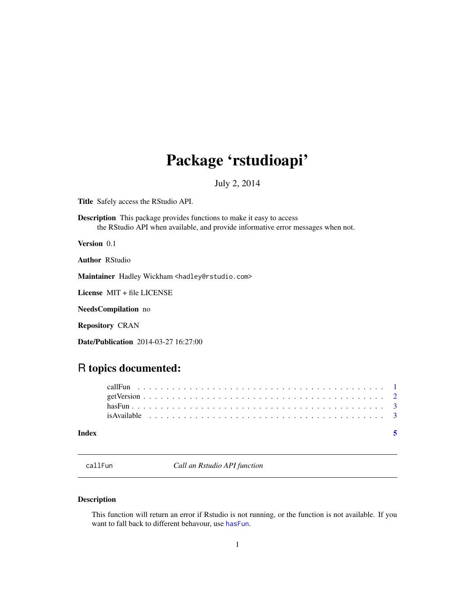## <span id="page-0-0"></span>Package 'rstudioapi'

July 2, 2014

<span id="page-0-1"></span>Title Safely access the RStudio API.

Description This package provides functions to make it easy to access the RStudio API when available, and provide informative error messages when not.

Version 0.1

Author RStudio

Maintainer Hadley Wickham <hadley@rstudio.com>

License MIT + file LICENSE

NeedsCompilation no

Repository CRAN

Date/Publication 2014-03-27 16:27:00

## R topics documented:

| Index |  |  |  |  |  |  |  |  |  |  |  |  |  |  |  |  |  |  |  |  |  |
|-------|--|--|--|--|--|--|--|--|--|--|--|--|--|--|--|--|--|--|--|--|--|
|       |  |  |  |  |  |  |  |  |  |  |  |  |  |  |  |  |  |  |  |  |  |
|       |  |  |  |  |  |  |  |  |  |  |  |  |  |  |  |  |  |  |  |  |  |
|       |  |  |  |  |  |  |  |  |  |  |  |  |  |  |  |  |  |  |  |  |  |
|       |  |  |  |  |  |  |  |  |  |  |  |  |  |  |  |  |  |  |  |  |  |

callFun *Call an Rstudio API function*

#### Description

This function will return an error if Rstudio is not running, or the function is not available. If you want to fall back to different behavour, use [hasFun](#page-2-1).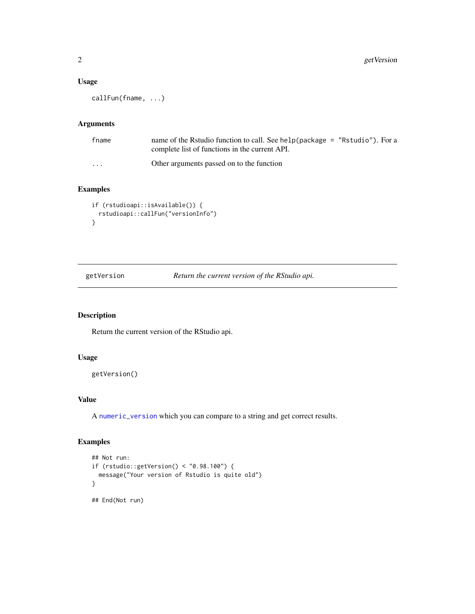#### <span id="page-1-0"></span>Usage

callFun(fname, ...)

#### Arguments

| fname                   | name of the Rstudio function to call. See help (package = "Rstudio"). For a<br>complete list of functions in the current API. |
|-------------------------|-------------------------------------------------------------------------------------------------------------------------------|
| $\cdot$ $\cdot$ $\cdot$ | Other arguments passed on to the function                                                                                     |

#### Examples

```
if (rstudioapi::isAvailable()) {
  rstudioapi::callFun("versionInfo")
}
```
getVersion *Return the current version of the RStudio api.*

#### Description

Return the current version of the RStudio api.

#### Usage

getVersion()

#### Value

A [numeric\\_version](#page-0-1) which you can compare to a string and get correct results.

#### Examples

```
## Not run:
if (rstudio::getVersion() < "0.98.100") {
  message("Your version of Rstudio is quite old")
}
## End(Not run)
```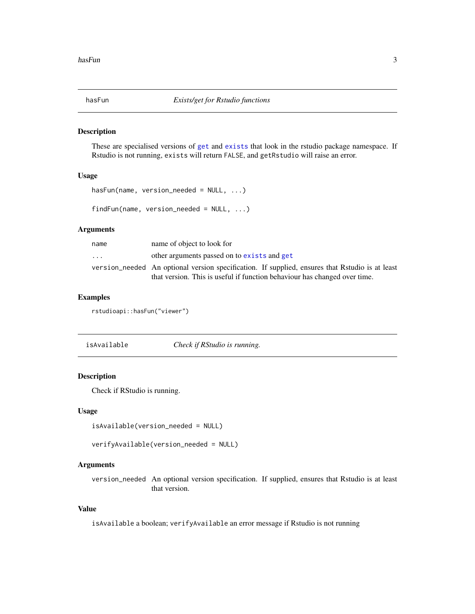<span id="page-2-1"></span><span id="page-2-0"></span>

#### Description

These are specialised versions of [get](#page-0-1) and [exists](#page-0-1) that look in the rstudio package namespace. If Rstudio is not running, exists will return FALSE, and getRstudio will raise an error.

#### Usage

```
hasFun(name, version_needed = NULL, ...)
findFun(name, version_needed = NULL, ...)
```

| name | name of object to look for                                                                      |
|------|-------------------------------------------------------------------------------------------------|
| .    | other arguments passed on to exists and get                                                     |
|      | version_needed An optional version specification. If supplied, ensures that Rstudio is at least |
|      | that version. This is useful if function behaviour has changed over time.                       |

#### Examples

Arguments

rstudioapi::hasFun("viewer")

isAvailable *Check if RStudio is running.*

#### Description

Check if RStudio is running.

#### Usage

```
isAvailable(version_needed = NULL)
```

```
verifyAvailable(version_needed = NULL)
```
#### Arguments

version\_needed An optional version specification. If supplied, ensures that Rstudio is at least that version.

#### Value

isAvailable a boolean; verifyAvailable an error message if Rstudio is not running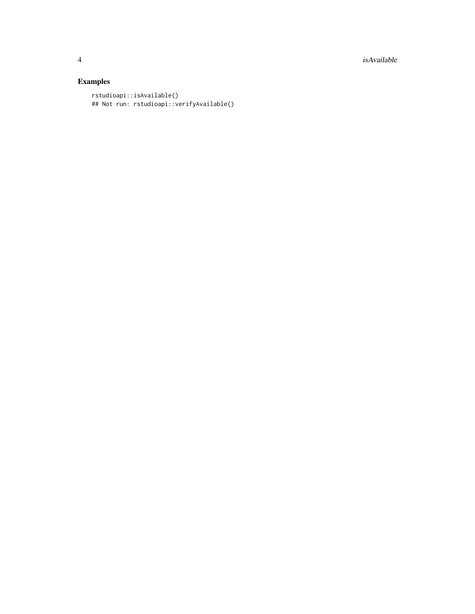4 is a set of the set of the set of the set of the set of the set of the set of the set of the set of the set of the set of the set of the set of the set of the set of the set of the set of the set of the set of the set of

### Examples

```
rstudioapi::isAvailable()
## Not run: rstudioapi::verifyAvailable()
```